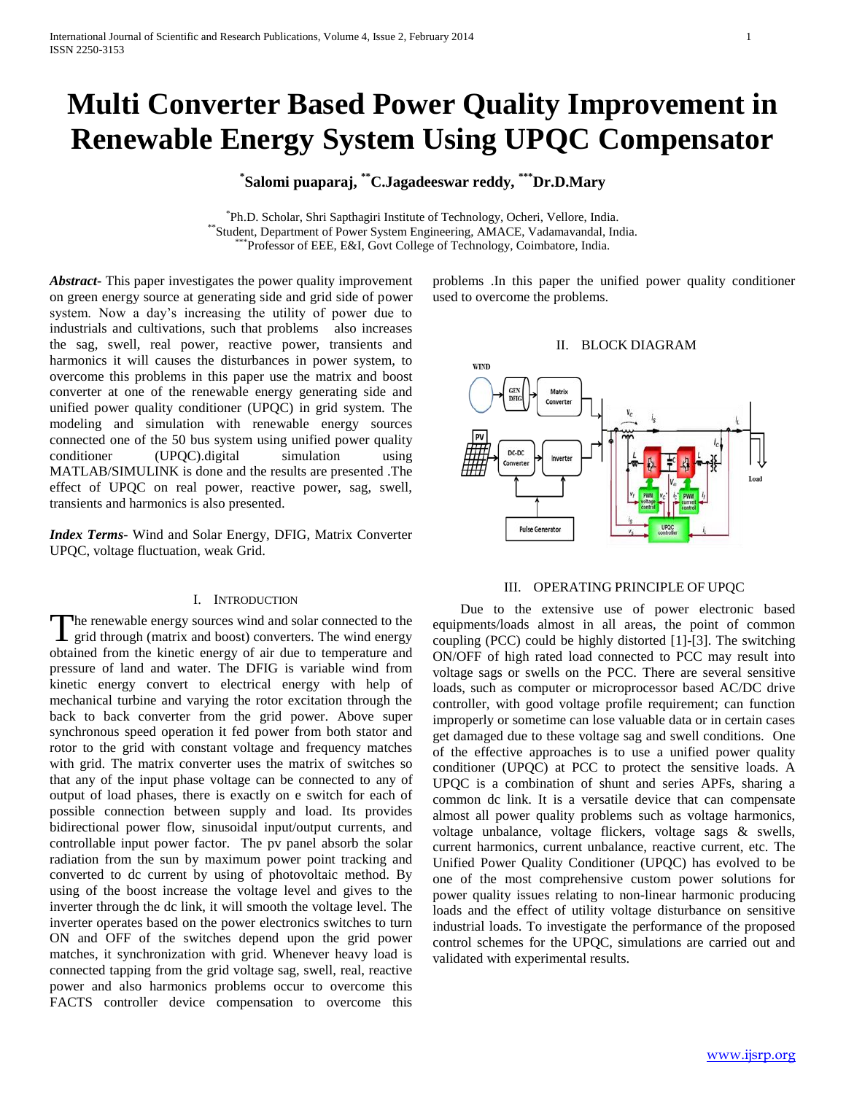# **Multi Converter Based Power Quality Improvement in Renewable Energy System Using UPQC Compensator**

# **\* Salomi puaparaj, \*\*C.Jagadeeswar reddy, \*\*\*Dr.D.Mary**

\* Ph.D. Scholar, Shri Sapthagiri Institute of Technology, Ocheri, Vellore, India. \*\*Student, Department of Power System Engineering, AMACE, Vadamavandal, India. \*\*\*Professor of EEE, E&I, Govt College of Technology, Coimbatore, India.

*Abstract***-** This paper investigates the power quality improvement on green energy source at generating side and grid side of power system. Now a day's increasing the utility of power due to industrials and cultivations, such that problems also increases the sag, swell, real power, reactive power, transients and harmonics it will causes the disturbances in power system, to overcome this problems in this paper use the matrix and boost converter at one of the renewable energy generating side and unified power quality conditioner (UPQC) in grid system. The modeling and simulation with renewable energy sources connected one of the 50 bus system using unified power quality conditioner (UPQC).digital simulation using MATLAB/SIMULINK is done and the results are presented .The effect of UPQC on real power, reactive power, sag, swell, transients and harmonics is also presented.

*Index Terms*- Wind and Solar Energy, DFIG, Matrix Converter UPQC, voltage fluctuation, weak Grid.

# I. INTRODUCTION

The renewable energy sources wind and solar connected to the The renewable energy sources wind and solar connected to the grid through (matrix and boost) converters. The wind energy obtained from the kinetic energy of air due to temperature and pressure of land and water. The DFIG is variable wind from kinetic energy convert to electrical energy with help of mechanical turbine and varying the rotor excitation through the back to back converter from the grid power. Above super synchronous speed operation it fed power from both stator and rotor to the grid with constant voltage and frequency matches with grid. The matrix converter uses the matrix of switches so that any of the input phase voltage can be connected to any of output of load phases, there is exactly on e switch for each of possible connection between supply and load. Its provides bidirectional power flow, sinusoidal input/output currents, and controllable input power factor. The pv panel absorb the solar radiation from the sun by maximum power point tracking and converted to dc current by using of photovoltaic method. By using of the boost increase the voltage level and gives to the inverter through the dc link, it will smooth the voltage level. The inverter operates based on the power electronics switches to turn ON and OFF of the switches depend upon the grid power matches, it synchronization with grid. Whenever heavy load is connected tapping from the grid voltage sag, swell, real, reactive power and also harmonics problems occur to overcome this FACTS controller device compensation to overcome this

problems .In this paper the unified power quality conditioner used to overcome the problems.

#### II. BLOCK DIAGRAM



### III. OPERATING PRINCIPLE OF UPQC

 Due to the extensive use of power electronic based equipments/loads almost in all areas, the point of common coupling (PCC) could be highly distorted [1]-[3]. The switching ON/OFF of high rated load connected to PCC may result into voltage sags or swells on the PCC. There are several sensitive loads, such as computer or microprocessor based AC/DC drive controller, with good voltage profile requirement; can function improperly or sometime can lose valuable data or in certain cases get damaged due to these voltage sag and swell conditions. One of the effective approaches is to use a unified power quality conditioner (UPQC) at PCC to protect the sensitive loads. A UPQC is a combination of shunt and series APFs, sharing a common dc link. It is a versatile device that can compensate almost all power quality problems such as voltage harmonics, voltage unbalance, voltage flickers, voltage sags & swells, current harmonics, current unbalance, reactive current, etc. The Unified Power Quality Conditioner (UPQC) has evolved to be one of the most comprehensive custom power solutions for power quality issues relating to non-linear harmonic producing loads and the effect of utility voltage disturbance on sensitive industrial loads. To investigate the performance of the proposed control schemes for the UPQC, simulations are carried out and validated with experimental results.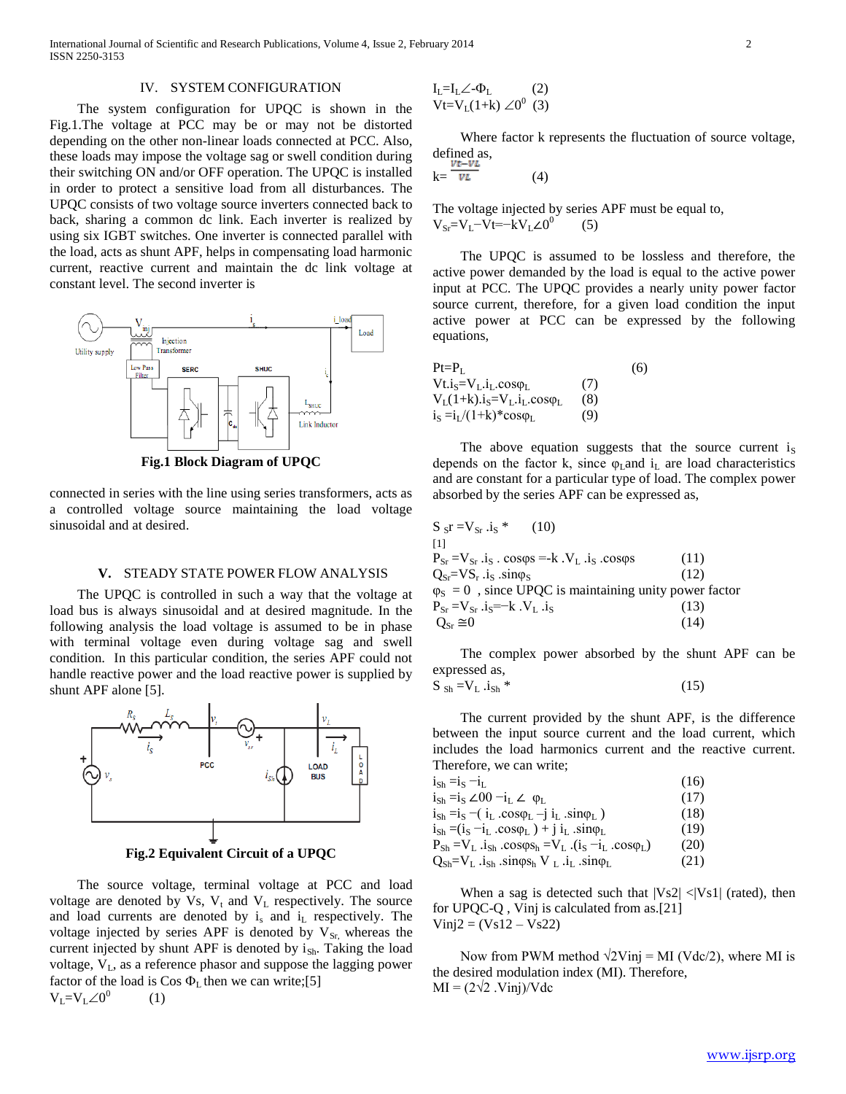# IV. SYSTEM CONFIGURATION

 The system configuration for UPQC is shown in the Fig.1.The voltage at PCC may be or may not be distorted depending on the other non-linear loads connected at PCC. Also, these loads may impose the voltage sag or swell condition during their switching ON and/or OFF operation. The UPQC is installed in order to protect a sensitive load from all disturbances. The UPQC consists of two voltage source inverters connected back to back, sharing a common dc link. Each inverter is realized by using six IGBT switches. One inverter is connected parallel with the load, acts as shunt APF, helps in compensating load harmonic current, reactive current and maintain the dc link voltage at constant level. The second inverter is



**Fig.1 Block Diagram of UPQC**

connected in series with the line using series transformers, acts as a controlled voltage source maintaining the load voltage sinusoidal and at desired.

#### **V.** STEADY STATE POWER FLOW ANALYSIS

 The UPQC is controlled in such a way that the voltage at load bus is always sinusoidal and at desired magnitude. In the following analysis the load voltage is assumed to be in phase with terminal voltage even during voltage sag and swell condition. In this particular condition, the series APF could not handle reactive power and the load reactive power is supplied by shunt APF alone [5].



**Fig.2 Equivalent Circuit of a UPQC**

 The source voltage, terminal voltage at PCC and load voltage are denoted by Vs,  $V_t$  and  $V_L$  respectively. The source and load currents are denoted by  $i_s$  and  $i_l$  respectively. The voltage injected by series APF is denoted by  $V_{Sr}$ , whereas the current injected by shunt APF is denoted by  $i_{Sh}$ . Taking the load voltage, V<sub>L</sub>, as a reference phasor and suppose the lagging power factor of the load is Cos  $\Phi_L$  then we can write;[5]  $V_L = V_L \angle 0^0$ (1)

$$
\begin{array}{l} I_L = I_L \angle \text{-} \Phi_L \qquad \qquad (2) \\ Vt = V_L(1+k) \angle 0^0 \quad (3) \end{array}
$$

 Where factor k represents the fluctuation of source voltage, defined as,

$$
k = \frac{\nu e^{-\nu L}}{\nu L} \tag{4}
$$

The voltage injected by series APF must be equal to,  $V_{\text{Sr}}=V_{\text{L}}-V_{\text{L}}=-kV_{\text{L}}\angle 0^0$ (5)

 The UPQC is assumed to be lossless and therefore, the active power demanded by the load is equal to the active power input at PCC. The UPQC provides a nearly unity power factor source current, therefore, for a given load condition the input active power at PCC can be expressed by the following equations,

| $Pt = PT$                            |     | (6) |
|--------------------------------------|-----|-----|
| $Vt.iS=VL.iL.cos\varphi_L$           | (7) |     |
| $V_L(1+k).i_S=V_L.i_L \cos\varphi_L$ | (8) |     |
| $i_S = i_L/(1+k) * cos \varphi_L$    | (9) |     |

The above equation suggests that the source current  $i<sub>S</sub>$ depends on the factor k, since  $\varphi$ <sub>L</sub>and i<sub>L</sub> are load characteristics and are constant for a particular type of load. The complex power absorbed by the series APF can be expressed as,

| [1]<br>$P_{Sr} = V_{Sr}.i_S$ . $cos\varphi s = -k$ . $V_L$ . $i_S$ . $cos\varphi s$<br>(11)<br>$Q_{\text{Sr}} = VS_r$ .is sinos<br>(12)<br>$\varphi_{\rm S} = 0$ , since UPQC is maintaining unity power factor<br>$P_{Sr} = V_{Sr}.i_S = -k. V_L.i_S$<br>(13)<br>$Q_{S_r} \cong 0$<br>(14) | $S_{\rm s}r = V_{\rm sr}$ .i.s *<br>(10) |  |
|---------------------------------------------------------------------------------------------------------------------------------------------------------------------------------------------------------------------------------------------------------------------------------------------|------------------------------------------|--|
|                                                                                                                                                                                                                                                                                             |                                          |  |
|                                                                                                                                                                                                                                                                                             |                                          |  |
|                                                                                                                                                                                                                                                                                             |                                          |  |
|                                                                                                                                                                                                                                                                                             |                                          |  |
|                                                                                                                                                                                                                                                                                             |                                          |  |
|                                                                                                                                                                                                                                                                                             |                                          |  |

 The complex power absorbed by the shunt APF can be expressed as,

$$
S_{\text{Sh}} = V_{\text{L}} . i_{\text{Sh}} \tag{15}
$$

 The current provided by the shunt APF, is the difference between the input source current and the load current, which includes the load harmonics current and the reactive current. Therefore, we can write;

| $i_{\text{Sh}} = i_{\text{S}} - i_{\text{L}}$                                                                                | (16) |
|------------------------------------------------------------------------------------------------------------------------------|------|
| $i_{\text{Sh}} = i_{\text{S}} \angle 00 - i_{\text{L}} \angle \varphi_{\text{L}}$                                            | (17) |
| $i_{\text{Sh}} = i_{\text{S}} - (i_{\text{L}} \cdot \cos \varphi_{\text{L}} - j i_{\text{L}} \cdot \sin \varphi_{\text{L}})$ | (18) |
| $i_{\text{Sh}} = (i_{\text{S}} - i_{\text{L}} \cdot \cos \varphi_{\text{L}}) + j i_{\text{L}} \cdot \sin \varphi_{\text{L}}$ | (19) |
| $P_{Sh} = V_L$ .i <sub>Sh</sub> $\cos\varphi s_h = V_L$ .(i <sub>S</sub> $-i_L$ $\cos\varphi_L$ )                            | (20) |
| $Q_{\rm Sh} = V_{\rm L}$ .i <sub>Sh</sub> .sinos <sub>h</sub> V <sub>L</sub> .i <sub>L</sub> .sino <sub>L</sub>              | (21) |

When a sag is detected such that  $|Vs2| < |Vs1|$  (rated), then for UPQC-Q , Vinj is calculated from as.[21]  $Vinj2 = (Vs12 - Vs22)$ 

Now from PWM method  $\sqrt{2}$ Vinj = MI (Vdc/2), where MI is the desired modulation index (MI). Therefore,  $MI = (2\sqrt{2} \cdot Vinj)/Vdc$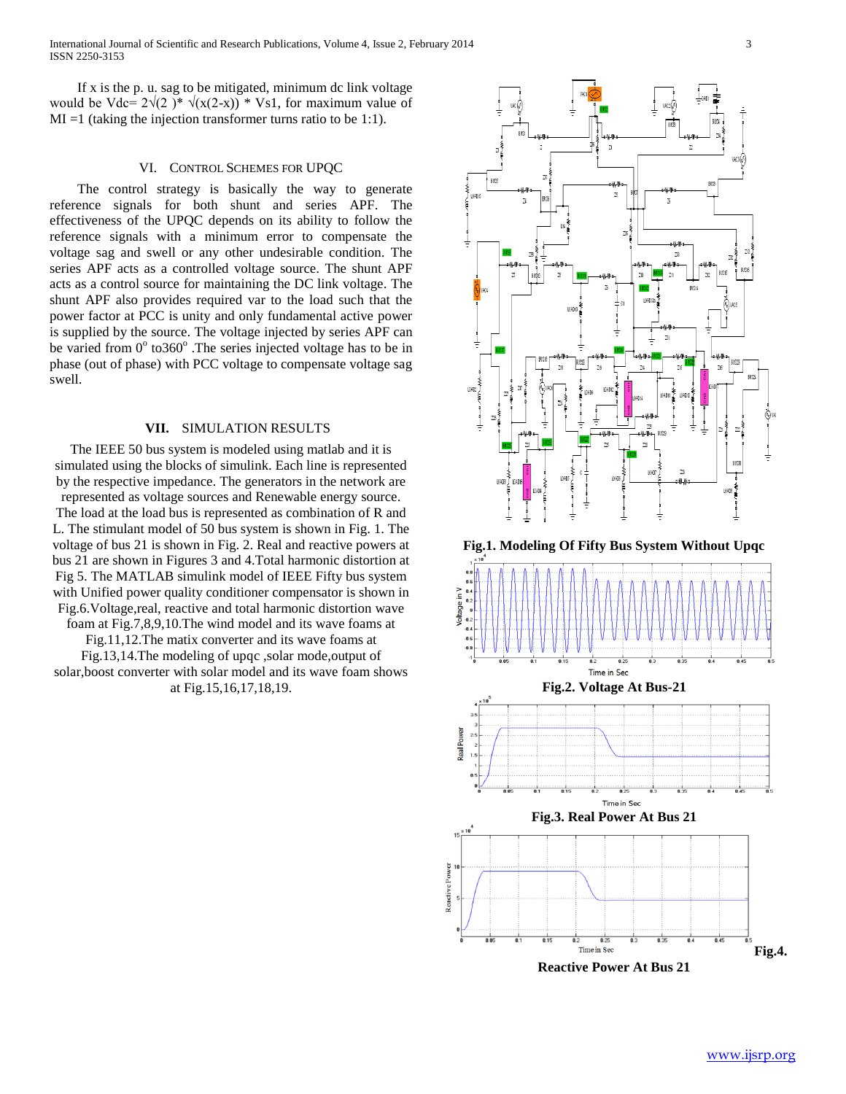International Journal of Scientific and Research Publications, Volume 4, Issue 2, February 2014 3 ISSN 2250-3153

 If x is the p. u. sag to be mitigated, minimum dc link voltage would be Vdc=  $2\sqrt{2}$  )\*  $\sqrt{x(2-x)}$  \* Vs1, for maximum value of  $MI =1$  (taking the injection transformer turns ratio to be 1:1).

# VI. CONTROL SCHEMES FOR UPQC

 The control strategy is basically the way to generate reference signals for both shunt and series APF. The effectiveness of the UPQC depends on its ability to follow the reference signals with a minimum error to compensate the voltage sag and swell or any other undesirable condition. The series APF acts as a controlled voltage source. The shunt APF acts as a control source for maintaining the DC link voltage. The shunt APF also provides required var to the load such that the power factor at PCC is unity and only fundamental active power is supplied by the source. The voltage injected by series APF can be varied from 0° to360°. The series injected voltage has to be in phase (out of phase) with PCC voltage to compensate voltage sag swell.

# **VII.** SIMULATION RESULTS

The IEEE 50 bus system is modeled using matlab and it is simulated using the blocks of simulink. Each line is represented by the respective impedance. The generators in the network are represented as voltage sources and Renewable energy source. The load at the load bus is represented as combination of R and L. The stimulant model of 50 bus system is shown in Fig. 1. The voltage of bus 21 is shown in Fig. 2. Real and reactive powers at bus 21 are shown in Figures 3 and 4.Total harmonic distortion at Fig 5. The MATLAB simulink model of IEEE Fifty bus system with Unified power quality conditioner compensator is shown in Fig.6.Voltage,real, reactive and total harmonic distortion wave foam at Fig.7,8,9,10.The wind model and its wave foams at

Fig.11,12.The matix converter and its wave foams at

Fig.13,14.The modeling of upqc ,solar mode,output of

solar,boost converter with solar model and its wave foam shows at Fig.15,16,17,18,19.

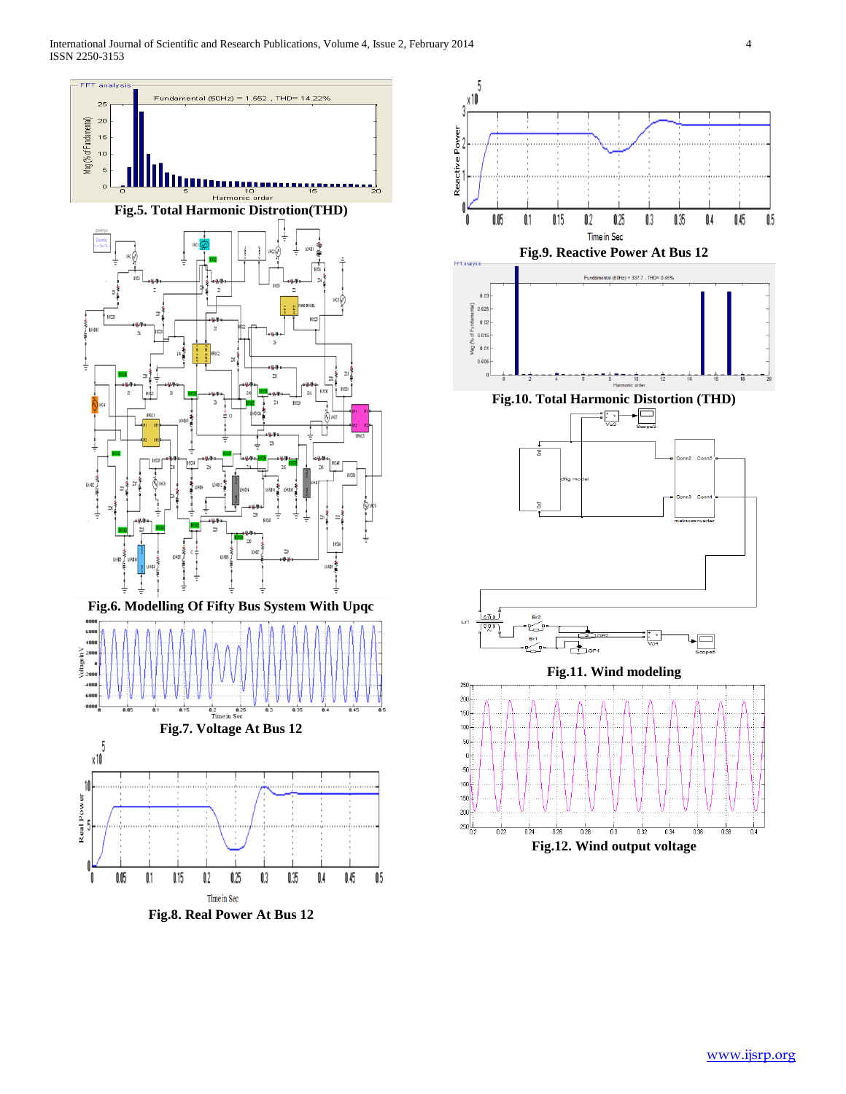

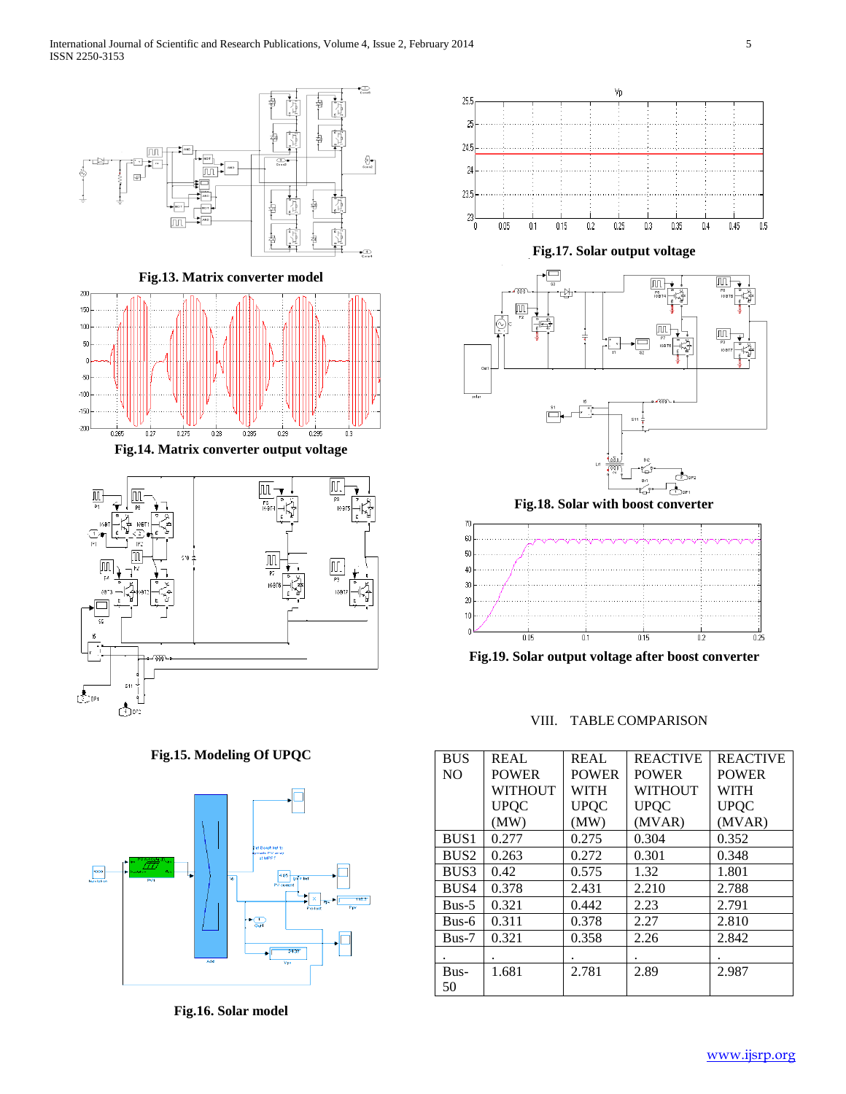

**Fig.15. Modeling Of UPQC**



**Fig.16. Solar model**



**Fig.19. Solar output voltage after boost converter**

VIII. TABLE COMPARISON

| <b>BUS</b>       | REAL         | REAL         | <b>REACTIVE</b> | <b>REACTIVE</b> |
|------------------|--------------|--------------|-----------------|-----------------|
| N <sub>O</sub>   | <b>POWER</b> | <b>POWER</b> | <b>POWER</b>    | <b>POWER</b>    |
|                  | WITHOUT      | <b>WITH</b>  | <b>WITHOUT</b>  | <b>WITH</b>     |
|                  | <b>UPQC</b>  | <b>UPQC</b>  | <b>UPQC</b>     | <b>UPQC</b>     |
|                  | (MW)         | (MW)         | (MVAR)          | (MVAR)          |
| BUS <sub>1</sub> | 0.277        | 0.275        | 0.304           | 0.352           |
| BUS <sub>2</sub> | 0.263        | 0.272        | 0.301           | 0.348           |
| BUS3             | 0.42         | 0.575        | 1.32            | 1.801           |
| BUS4             | 0.378        | 2.431        | 2.210           | 2.788           |
| $Bus-5$          | 0.321        | 0.442        | 2.23            | 2.791           |
| Bus-6            | 0.311        | 0.378        | 2.27            | 2.810           |
| $Bus-7$          | 0.321        | 0.358        | 2.26            | 2.842           |
|                  |              |              |                 |                 |
| Bus-             | 1.681        | 2.781        | 2.89            | 2.987           |
| 50               |              |              |                 |                 |